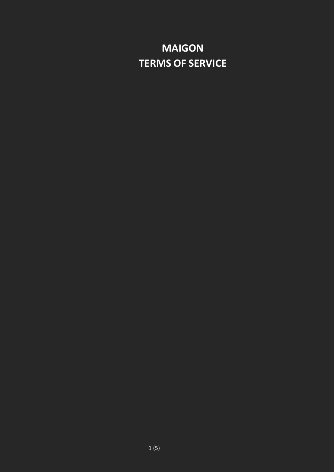# **MAIGON TERMS OF SERVICE**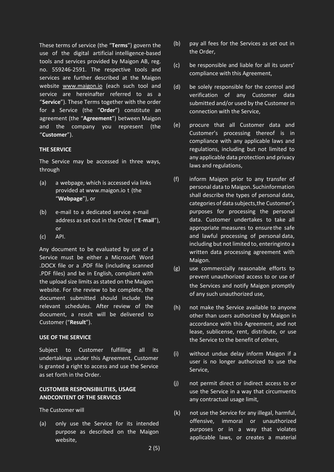These terms of service (the "**Terms**") govern the use of the digital artificial intelligence-based tools and services provided by Maigon AB, reg. no. 559246-2591. The respective tools and services are further described at the Maigon website [www.maigon.io](http://www.maigon.io/) (each such tool and service are hereinafter referred to as a "**Service**"). These Terms together with the order for a Service (the "**Order**") constitute an agreement (the "**Agreement**") between Maigon and the company you represent (the "**Customer**").

## **THE SERVICE**

The Service may be accessed in three ways, through

- $(a)$  a webpage, which is accessed via links provided at www.maigon.io t (the "**Webpage**"), or
- (b) e-mail to a dedicated service e-mail address as set out in the Order ("**E-mail**"), or
- (c) API.

Any document to be evaluated by use of a Service must be either a Microsoft Word .DOCX file or a .PDF file (including scanned .PDF files) and be in English, compliant with the upload size limits as stated on the Maigon website. For the review to be complete, the document submitted should include the relevant schedules. After review of the document, a result will be delivered to Customer ("**Result**").

# **USE OF THE SERVICE**

Subject to Customer fulfilling all its undertakings under this Agreement, Customer is granted a right to access and use the Service as set forth in the Order.

# **CUSTOMER RESPONSIBILITIES, USAGE ANDCONTENT OF THE SERVICES**

The Customer will

(a) only use the Service for its intended purpose as described on the Maigon website,

- (b) pay all fees for the Services as set out in the Order,
- (c) be responsible and liable for all its users' compliance with this Agreement,
- (d) be solely responsible for the control and verification of any Customer data submitted and/or used by the Customer in connection with the Service,
- (e) procure that all Customer data and Customer's processing thereof is in compliance with any applicable laws and regulations, including but not limited to any applicable data protection and privacy laws and regulations,
- (f) inform Maigon prior to any transfer of personal data to Maigon. Suchinformation shall describe the types of personal data, categories of data subjects,the Customer's purposes for processing the personal data. Customer undertakes to take all appropriate measures to ensurethe safe and lawful processing of personal data, including but not limited to, enteringinto a written data processing agreement with Maigon.
- (g) use commercially reasonable efforts to prevent unauthorized access to or use of the Services and notify Maigon promptly of any such unauthorized use,
- (h) not make the Service available to anyone other than users authorized by Maigon in accordance with this Agreement, and not lease, sublicense, rent, distribute, or use the Service to the benefit of others,
- (i) without undue delay inform Maigon if a user is no longer authorized to use the Service,
- (j) not permit direct or indirect access to or use the Service in a way that circumvents any contractual usage limit,
- (k) not use the Service for any illegal, harmful, offensive, immoral or unauthorized purposes or in a way that violates applicable laws, or creates a material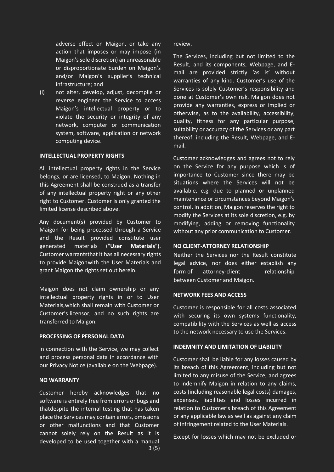adverse effect on Maigon, or take any action that imposes or may impose (in Maigon'ssole discretion) an unreasonable or disproportionate burden on Maigon's and/or Maigon's supplier's technical infrastructure; and

(l) not alter, develop, adjust, decompile or reverse engineer the Service to access Maigon's intellectual property or to violate the security or integrity of any network, computer or communication system, software, application or network computing device.

## **INTELLECTUAL PROPERTY RIGHTS**

All intellectual property rights in the Service belongs, or are licensed, to Maigon. Nothing in this Agreement shall be construed as a transfer of any intellectual property right or any other right to Customer. Customer is only granted the limited license described above.

Any document(s) provided by Customer to Maigon for being processed through a Service and the Result provided constitute user generated materials ("**User Materials**"). Customer warrantsthat it has all necessary rights to provide Maigonwith the User Materials and grant Maigon the rights set out herein.

Maigon does not claim ownership or any intellectual property rights in or to User Materials,which shall remain with Customer or Customer's licensor, and no such rights are transferred to Maigon.

### **PROCESSING OF PERSONAL DATA**

In connection with the Service, we may collect and process personal data in accordance with our Privacy Notice (available on the Webpag[e\).](https://dpa.ai/privacy_policy)

## **NO WARRANTY**

3 (5) Customer hereby acknowledges that no software is entirely free from errors or bugs and thatdespite the internal testing that has taken place the Services may contain errors, omissions or other malfunctions and that Customer cannot solely rely on the Result as it is developed to be used together with a manual

#### review.

The Services, including but not limited to the Result, and its components, Webpage, and Email are provided strictly 'as is' without warranties of any kind. Customer's use of the Services is solely Customer's responsibility and done at Customer's own risk. Maigon does not provide any warranties, express or implied or otherwise, as to the availability, accessibility, quality, fitness for any particular purpose, suitability or accuracy of the Services or any part thereof, including the Result, Webpage, and Email.

Customer acknowledges and agrees not to rely on the Service for any purpose which is of importance to Customer since there may be situations where the Services will not be available, e.g. due to planned or unplanned maintenance or circumstances beyond Maigon's control. In addition, Maigon reserves the right to modify the Services at its sole discretion, e.g. by modifying, adding or removing functionality without any prior communication to Customer.

## **NO CLIENT-ATTORNEY RELATIONSHIP**

Neither the Services nor the Result constitute legal advice, nor does either establish any form of attorney-client relationship between Customer and Maigon.

#### **NETWORK FEES AND ACCESS**

Customer is responsible for all costs associated with securing its own systems functionality, compatibility with the Services as well as access to the network necessary to use the Services.

## **INDEMNITY AND LIMITATION OF LIABILITY**

Customer shall be liable for any losses caused by its breach of this Agreement, including but not limited to any misuse of the Service, and agrees to indemnify Maigon in relation to any claims, costs (including reasonable legal costs) damages, expenses, liabilities and losses incurred in relation to Customer's breach of this Agreement or any applicable law as well as against any claim of infringement related to the User Materials.

Except for losses which may not be excluded or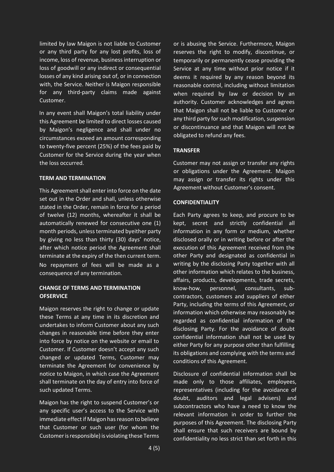limited by law Maigon is not liable to Customer or any third party for any lost profits, loss of income, loss of revenue, businessinterruption or loss of goodwill or any indirect or consequential losses of any kind arising out of, or in connection with, the Service. Neither is Maigon responsible for any third-party claims made against Customer.

In any event shall Maigon's total liability under this Agreement be limited to direct losses caused by Maigon's negligence and shall under no circumstances exceed an amount corresponding to twenty-five percent (25%) of the fees paid by Customer for the Service during the year when the loss occurred.

## **TERM AND TERMINATION**

This Agreement shall enter into force on the date set out in the Order and shall, unless otherwise stated in the Order, remain in force for a period of twelve (12) months, whereafter it shall be automatically renewed for consecutive one (1) month periods, unless terminated byeither party by giving no less than thirty (30) days' notice, after which notice period the Agreement shall terminate at the expiry of the then current term. No repayment of fees will be made as a consequence of any termination.

# **CHANGE OF TERMS AND TERMINATION OFSERVICE**

Maigon reserves the right to change or update these Terms at any time in its discretion and undertakes to inform Customer about any such changes in reasonable time before they enter into force by notice on the website or email to Customer. If Customer doesn't accept any such changed or updated Terms, Customer may terminate the Agreement for convenience by notice to Maigon, in which case the Agreement shall terminate on the day of entry into force of such updated Terms.

Maigon has the right to suspend Customer's or any specific user's access to the Service with immediate effect if Maigon has reason to believe that Customer or such user (for whom the Customer is responsible) is violating these Terms

or is abusing the Service. Furthermore, Maigon reserves the right to modify, discontinue, or temporarily or permanently cease providing the Service at any time without prior notice if it deems it required by any reason beyond its reasonable control, including without limitation when required by law or decision by an authority. Customer acknowledges and agrees that Maigon shall not be liable to Customer or any third party for such modification, suspension or discontinuance and that Maigon will not be obligated to refund any fees.

# **TRANSFER**

Customer may not assign or transfer any rights or obligations under the Agreement. Maigon may assign or transfer its rights under this Agreement without Customer's consent.

# **CONFIDENTIALITY**

Each Party agrees to keep, and procure to be kept, secret and strictly confidential all information in any form or medium, whether disclosed orally or in writing before or after the execution of this Agreement received from the other Party and designated as confidential in writing by the disclosing Party together with all other information which relates to the business, affairs, products, developments, trade secrets, know-how, personnel, consultants, subcontractors, customers and suppliers of either Party, including the terms of this Agreement, or information which otherwise may reasonably be regarded as confidential information of the disclosing Party. For the avoidance of doubt confidential information shall not be used by either Party for any purpose other than fulfilling its obligations and complying with the terms and conditions of this Agreement.

Disclosure of confidential information shall be made only to those affiliates, employees, representatives (including for the avoidance of doubt, auditors and legal advisers) and subcontractors who have a need to know the relevant information in order to further the purposes of this Agreement. The disclosing Party shall ensure that such receivers are bound by confidentiality no less strict than set forth in this